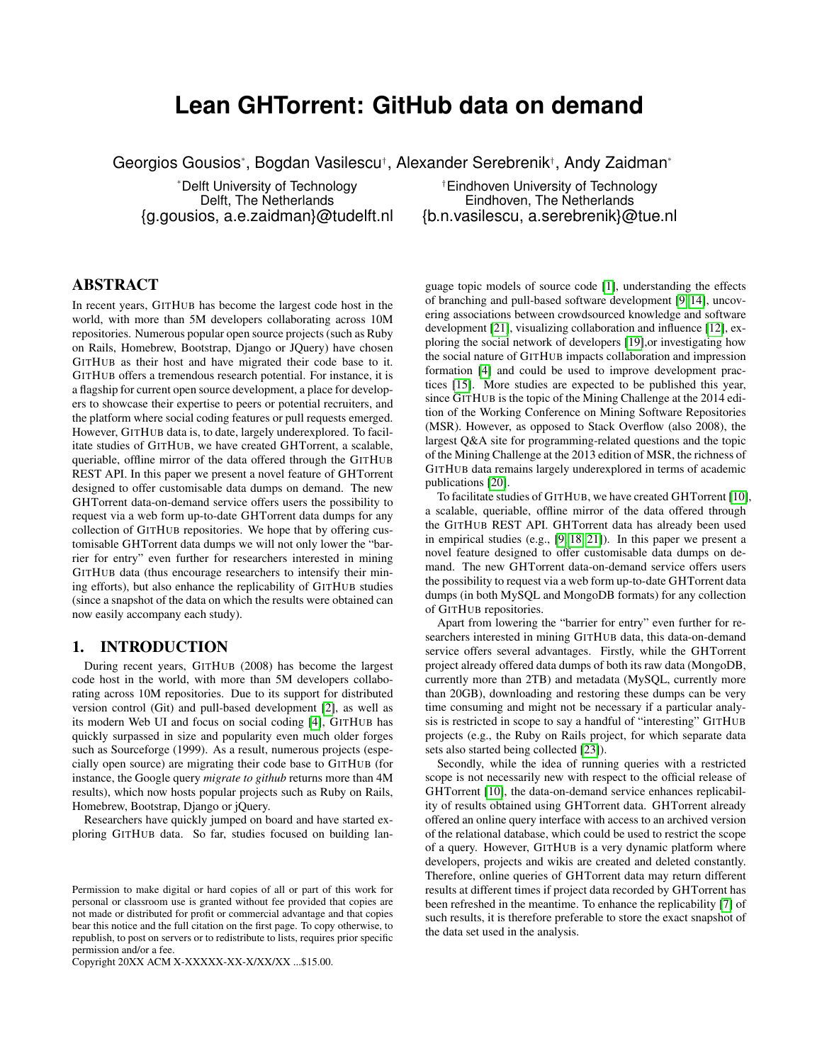# **Lean GHTorrent: GitHub data on demand**

Georgios Gousios\*, Bogdan Vasilescu†, Alexander Serebrenik†, Andy Zaidman\*

\*Delft University of Technology<br>Delft, The Netherlands<br>Eindhoven, The Netherlands<br>Eindhoven, The Netherlands Eindhoven, The Netherlands {g.gousios, a.e.zaidman}@tudelft.nl {b.n.vasilescu, a.serebrenik}@tue.nl

## ABSTRACT

In recent years, GITHUB has become the largest code host in the world, with more than 5M developers collaborating across 10M repositories. Numerous popular open source projects (such as Ruby on Rails, Homebrew, Bootstrap, Django or JQuery) have chosen GITHUB as their host and have migrated their code base to it. GITHUB offers a tremendous research potential. For instance, it is a flagship for current open source development, a place for developers to showcase their expertise to peers or potential recruiters, and the platform where social coding features or pull requests emerged. However, GITHUB data is, to date, largely underexplored. To facilitate studies of GITHUB, we have created GHTorrent, a scalable, queriable, offline mirror of the data offered through the GITHUB REST API. In this paper we present a novel feature of GHTorrent designed to offer customisable data dumps on demand. The new GHTorrent data-on-demand service offers users the possibility to request via a web form up-to-date GHTorrent data dumps for any collection of GITHUB repositories. We hope that by offering customisable GHTorrent data dumps we will not only lower the "barrier for entry" even further for researchers interested in mining GITHUB data (thus encourage researchers to intensify their mining efforts), but also enhance the replicability of GITHUB studies (since a snapshot of the data on which the results were obtained can now easily accompany each study).

#### 1. INTRODUCTION

During recent years, GITHUB (2008) has become the largest code host in the world, with more than 5M developers collaborating across 10M repositories. Due to its support for distributed version control (Git) and pull-based development [\[2\]](#page-3-0), as well as its modern Web UI and focus on social coding [\[4\]](#page-3-1), GITHUB has quickly surpassed in size and popularity even much older forges such as Sourceforge (1999). As a result, numerous projects (especially open source) are migrating their code base to GITHUB (for instance, the Google query *migrate to github* returns more than 4M results), which now hosts popular projects such as Ruby on Rails, Homebrew, Bootstrap, Django or jQuery.

Researchers have quickly jumped on board and have started exploring GITHUB data. So far, studies focused on building lan-

Copyright 20XX ACM X-XXXXX-XX-X/XX/XX ...\$15.00.

guage topic models of source code [\[1\]](#page-3-2), understanding the effects of branching and pull-based software development [\[9,](#page-3-3) [14\]](#page-3-4), uncovering associations between crowdsourced knowledge and software development [\[21\]](#page-3-5), visualizing collaboration and influence [\[12\]](#page-3-6), exploring the social network of developers [\[19\]](#page-3-7),or investigating how the social nature of GITHUB impacts collaboration and impression formation [\[4\]](#page-3-1) and could be used to improve development practices [\[15\]](#page-3-8). More studies are expected to be published this year, since GITHUB is the topic of the Mining Challenge at the 2014 edition of the Working Conference on Mining Software Repositories (MSR). However, as opposed to Stack Overflow (also 2008), the largest Q&A site for programming-related questions and the topic of the Mining Challenge at the 2013 edition of MSR, the richness of GITHUB data remains largely underexplored in terms of academic publications [\[20\]](#page-3-9).

To facilitate studies of GITHUB, we have created GHTorrent [\[10\]](#page-3-10), a scalable, queriable, offline mirror of the data offered through the GITHUB REST API. GHTorrent data has already been used in empirical studies (e.g., [\[9,](#page-3-3) [18,](#page-3-11) [21\]](#page-3-5)). In this paper we present a novel feature designed to offer customisable data dumps on demand. The new GHTorrent data-on-demand service offers users the possibility to request via a web form up-to-date GHTorrent data dumps (in both MySQL and MongoDB formats) for any collection of GITHUB repositories.

Apart from lowering the "barrier for entry" even further for researchers interested in mining GITHUB data, this data-on-demand service offers several advantages. Firstly, while the GHTorrent project already offered data dumps of both its raw data (MongoDB, currently more than 2TB) and metadata (MySQL, currently more than 20GB), downloading and restoring these dumps can be very time consuming and might not be necessary if a particular analysis is restricted in scope to say a handful of "interesting" GITHUB projects (e.g., the Ruby on Rails project, for which separate data sets also started being collected [\[23\]](#page-3-12)).

Secondly, while the idea of running queries with a restricted scope is not necessarily new with respect to the official release of GHTorrent [\[10\]](#page-3-10), the data-on-demand service enhances replicability of results obtained using GHTorrent data. GHTorrent already offered an online query interface with access to an archived version of the relational database, which could be used to restrict the scope of a query. However, GITHUB is a very dynamic platform where developers, projects and wikis are created and deleted constantly. Therefore, online queries of GHTorrent data may return different results at different times if project data recorded by GHTorrent has been refreshed in the meantime. To enhance the replicability [\[7\]](#page-3-13) of such results, it is therefore preferable to store the exact snapshot of the data set used in the analysis.

Permission to make digital or hard copies of all or part of this work for personal or classroom use is granted without fee provided that copies are not made or distributed for profit or commercial advantage and that copies bear this notice and the full citation on the first page. To copy otherwise, to republish, to post on servers or to redistribute to lists, requires prior specific permission and/or a fee.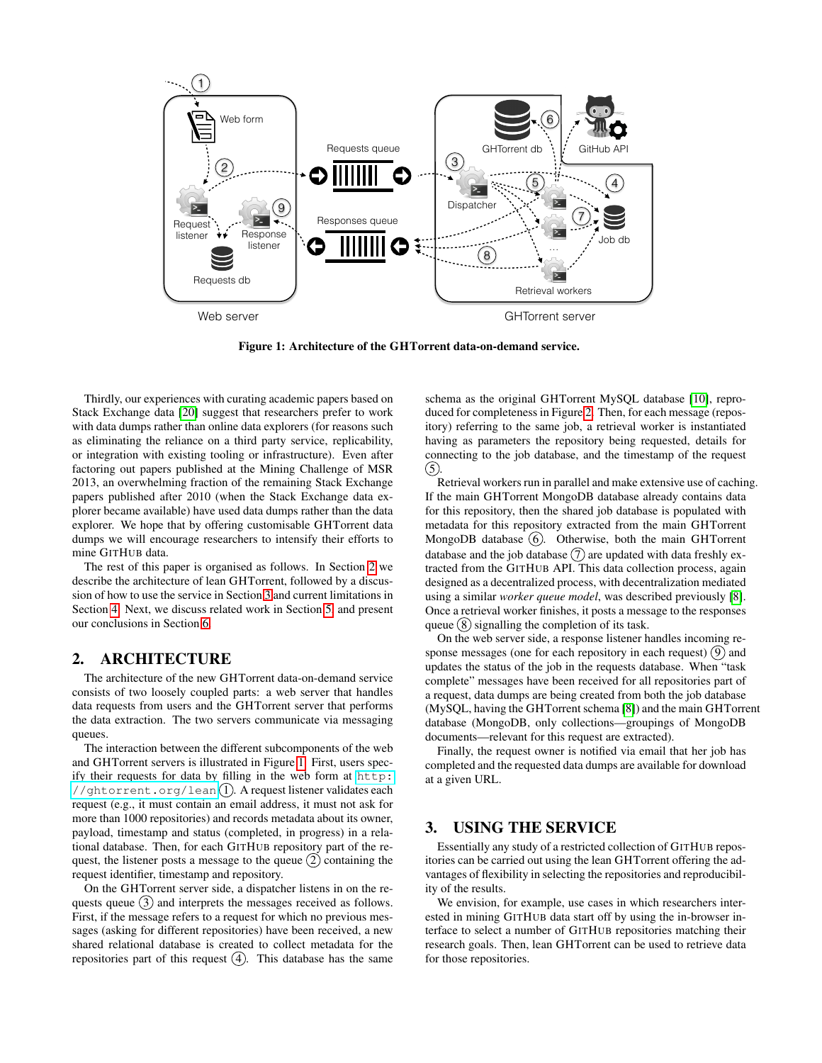

<span id="page-1-2"></span>Figure 1: Architecture of the GHTorrent data-on-demand service.

Thirdly, our experiences with curating academic papers based on Stack Exchange data [\[20\]](#page-3-9) suggest that researchers prefer to work with data dumps rather than online data explorers (for reasons such as eliminating the reliance on a third party service, replicability, or integration with existing tooling or infrastructure). Even after factoring out papers published at the Mining Challenge of MSR 2013, an overwhelming fraction of the remaining Stack Exchange papers published after 2010 (when the Stack Exchange data explorer became available) have used data dumps rather than the data explorer. We hope that by offering customisable GHTorrent data dumps we will encourage researchers to intensify their efforts to mine GITHUB data.

The rest of this paper is organised as follows. In Section [2](#page-1-0) we describe the architecture of lean GHTorrent, followed by a discussion of how to use the service in Section [3](#page-1-1) and current limitations in Section [4.](#page-2-0) Next, we discuss related work in Section [5,](#page-3-14) and present our conclusions in Section [6.](#page-3-15)

#### <span id="page-1-0"></span>2. ARCHITECTURE

The architecture of the new GHTorrent data-on-demand service consists of two loosely coupled parts: a web server that handles data requests from users and the GHTorrent server that performs the data extraction. The two servers communicate via messaging queues.

The interaction between the different subcomponents of the web and GHTorrent servers is illustrated in Figure [1.](#page-1-2) First, users specify their requests for data by filling in the web form at [http:](http://ghtorrent.org/lean) [//ghtorrent.org/lean](http://ghtorrent.org/lean)(1). A request listener validates each request (e.g., it must contain an email address, it must not ask for more than 1000 repositories) and records metadata about its owner, payload, timestamp and status (completed, in progress) in a relational database. Then, for each GITHUB repository part of the request, the listener posts a message to the queue  $(2)$  containing the request identifier, timestamp and repository.

On the GHTorrent server side, a dispatcher listens in on the requests queue  $(3)$  and interprets the messages received as follows. First, if the message refers to a request for which no previous messages (asking for different repositories) have been received, a new shared relational database is created to collect metadata for the repositories part of this request  $(4)$ . This database has the same

schema as the original GHTorrent MySQL database [\[10\]](#page-3-10), reproduced for completeness in Figure [2.](#page-2-1) Then, for each message (repository) referring to the same job, a retrieval worker is instantiated having as parameters the repository being requested, details for connecting to the job database, and the timestamp of the request  $(5)$ 

Retrieval workers run in parallel and make extensive use of caching. If the main GHTorrent MongoDB database already contains data for this repository, then the shared job database is populated with metadata for this repository extracted from the main GHTorrent MongoDB database  $(6)$ . Otherwise, both the main GHTorrent database and the job database  $(7)$  are updated with data freshly extracted from the GITHUB API. This data collection process, again designed as a decentralized process, with decentralization mediated using a similar *worker queue model*, was described previously [\[8\]](#page-3-16). Once a retrieval worker finishes, it posts a message to the responses queue  $(8)$  signalling the completion of its task.

On the web server side, a response listener handles incoming response messages (one for each repository in each request)  $(9)$  and updates the status of the job in the requests database. When "task complete" messages have been received for all repositories part of a request, data dumps are being created from both the job database (MySQL, having the GHTorrent schema [\[8\]](#page-3-16)) and the main GHTorrent database (MongoDB, only collections—groupings of MongoDB documents—relevant for this request are extracted).

Finally, the request owner is notified via email that her job has completed and the requested data dumps are available for download at a given URL.

## <span id="page-1-1"></span>3. USING THE SERVICE

Essentially any study of a restricted collection of GITHUB repositories can be carried out using the lean GHTorrent offering the advantages of flexibility in selecting the repositories and reproducibility of the results.

We envision, for example, use cases in which researchers interested in mining GITHUB data start off by using the in-browser interface to select a number of GITHUB repositories matching their research goals. Then, lean GHTorrent can be used to retrieve data for those repositories.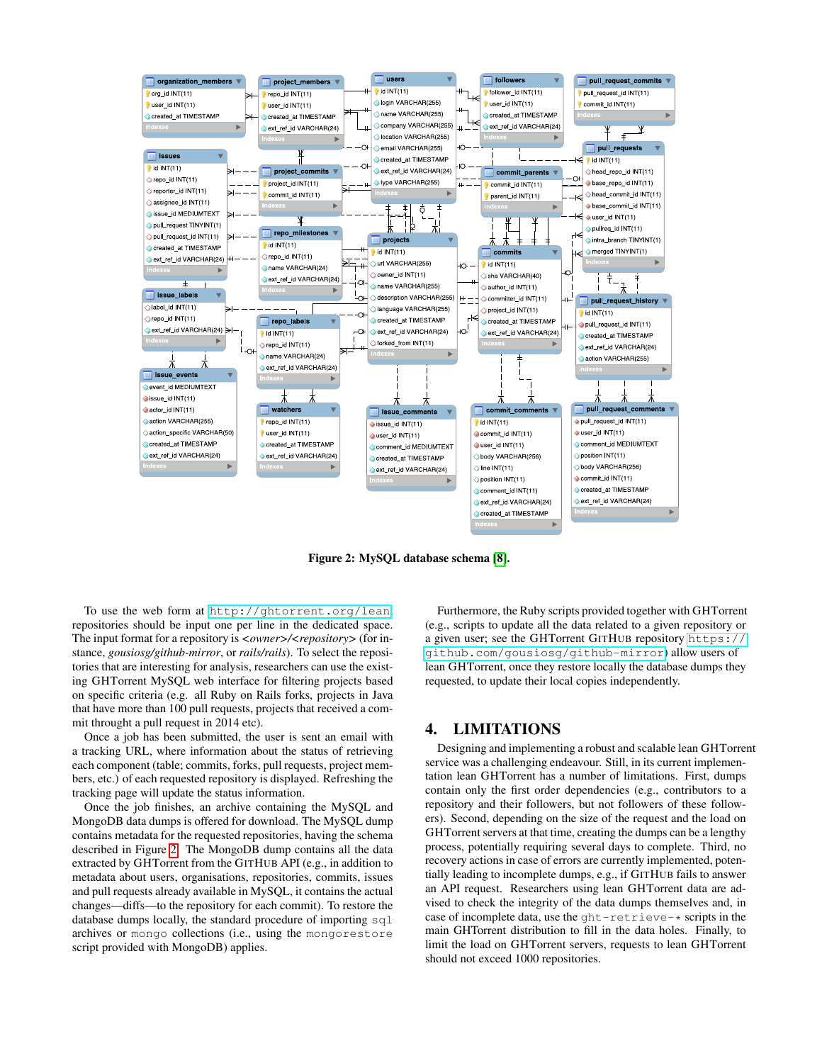

<span id="page-2-1"></span>Figure 2: MySQL database schema [\[8\]](#page-3-16).

To use the web form at <http://ghtorrent.org/lean>, repositories should be input one per line in the dedicated space. The input format for a repository is  $\langle \textit{owner} \rangle / \langle \textit{report} \rangle$  (for instance, *gousiosg/github-mirror*, or *rails/rails*). To select the repositories that are interesting for analysis, researchers can use the existing GHTorrent MySQL web interface for filtering projects based on specific criteria (e.g. all Ruby on Rails forks, projects in Java that have more than 100 pull requests, projects that received a commit throught a pull request in 2014 etc).

Once a job has been submitted, the user is sent an email with a tracking URL, where information about the status of retrieving each component (table; commits, forks, pull requests, project members, etc.) of each requested repository is displayed. Refreshing the tracking page will update the status information.

Once the job finishes, an archive containing the MySQL and MongoDB data dumps is offered for download. The MySQL dump contains metadata for the requested repositories, having the schema described in Figure [2.](#page-2-1) The MongoDB dump contains all the data extracted by GHTorrent from the GITHUB API (e.g., in addition to metadata about users, organisations, repositories, commits, issues and pull requests already available in MySQL, it contains the actual changes—diffs—to the repository for each commit). To restore the database dumps locally, the standard procedure of importing  $sql$ archives or mongo collections (i.e., using the mongorestore script provided with MongoDB) applies.

Furthermore, the Ruby scripts provided together with GHTorrent (e.g., scripts to update all the data related to a given repository or a given user; see the GHTorrent GITHUB repository [https://](https://github.com/gousiosg/github-mirror) [github.com/gousiosg/github-mirror](https://github.com/gousiosg/github-mirror)) allow users of lean GHTorrent, once they restore locally the database dumps they requested, to update their local copies independently.

#### <span id="page-2-0"></span>4. LIMITATIONS

Designing and implementing a robust and scalable lean GHTorrent service was a challenging endeavour. Still, in its current implementation lean GHTorrent has a number of limitations. First, dumps contain only the first order dependencies (e.g., contributors to a repository and their followers, but not followers of these followers). Second, depending on the size of the request and the load on GHTorrent servers at that time, creating the dumps can be a lengthy process, potentially requiring several days to complete. Third, no recovery actions in case of errors are currently implemented, potentially leading to incomplete dumps, e.g., if GITHUB fails to answer an API request. Researchers using lean GHTorrent data are advised to check the integrity of the data dumps themselves and, in case of incomplete data, use the  $q$ ht-retrieve- $*$  scripts in the main GHTorrent distribution to fill in the data holes. Finally, to limit the load on GHTorrent servers, requests to lean GHTorrent should not exceed 1000 repositories.